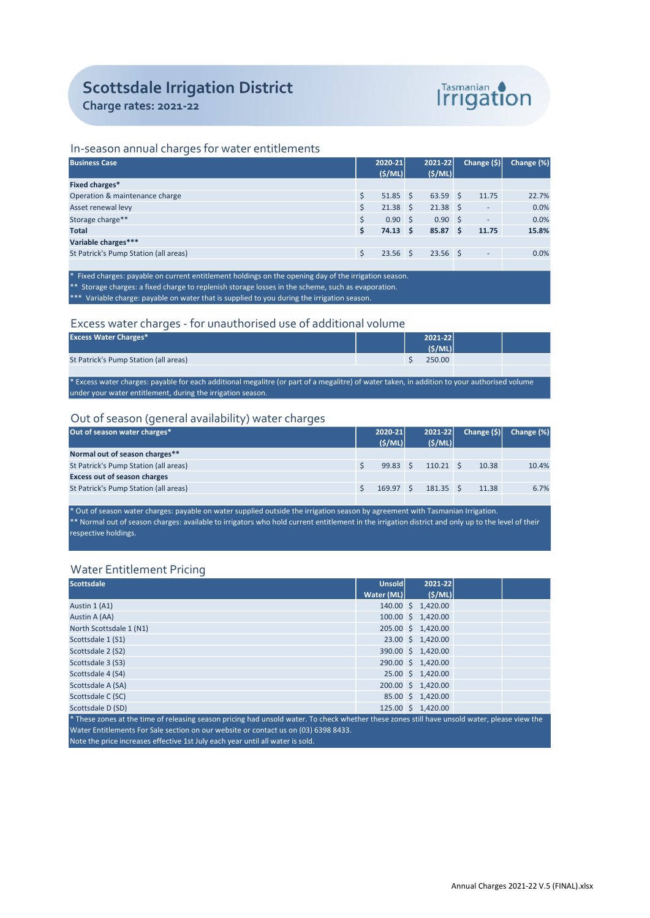# Scottsdale Irrigation District

Charge rates: 2021-22



## In-season annual charges for water entitlements

| <b>Business Case</b>                  |     | 2020-21          | 2021-22          |     | Change $(\$)\ $          | Change (%) |
|---------------------------------------|-----|------------------|------------------|-----|--------------------------|------------|
|                                       |     | (S/ML)           | (S/ML)           |     |                          |            |
| Fixed charges*                        |     |                  |                  |     |                          |            |
| Operation & maintenance charge        |     | $51.85$ \$       | $63.59$ \$       |     | 11.75                    | 22.7%      |
| Asset renewal levy                    |     | $21.38 \quad$ \$ | $21.38 \quad$ \$ |     |                          | 0.0%       |
| Storage charge**                      |     | 0.90S            | 0.90S            |     | $\overline{\phantom{0}}$ | 0.0%       |
| <b>Total</b>                          | \$. | $74.13 \quad$    | 85.87            | ∣S. | 11.75                    | 15.8%      |
| Variable charges***                   |     |                  |                  |     |                          |            |
| St Patrick's Pump Station (all areas) |     | $23.56$ \$       | $23.56$ \$       |     | $\overline{\phantom{0}}$ | 0.0%       |
|                                       |     |                  |                  |     |                          |            |

\* Fixed charges: payable on current entitlement holdings on the opening day of the irrigation season. \* Storage charges: a fixed charge to replenish storage losses in the scheme, such as evaporation. \*\*\* Variable charge: payable on water that is supplied to you during the irrigation season.

## Excess water charges - for unauthorised use of additional volume

| <b>Excess Water Charges*</b>                                                                                                               |  |  | 2021-22 |  |  |  |
|--------------------------------------------------------------------------------------------------------------------------------------------|--|--|---------|--|--|--|
|                                                                                                                                            |  |  | (S/ML)  |  |  |  |
| St Patrick's Pump Station (all areas)                                                                                                      |  |  | 250.00  |  |  |  |
|                                                                                                                                            |  |  |         |  |  |  |
| Everyor water charges: navable for each additional megalitre (or nart of a megalitre) of water taken in addition to vour authorised volume |  |  |         |  |  |  |

\* Excess water charges: payable for each additional megalitre (or part of a megalitre) of water taken, in addition to your authorised volume under your water entitlement, during the irrigation season.

## Out of season (general availability) water charges

| Out of season water charges*          | 2020-21 |                 | $2021 - 22$ |                   | Change $(\hat{S})$ | Change (%) |
|---------------------------------------|---------|-----------------|-------------|-------------------|--------------------|------------|
|                                       |         | (S/ML)          |             | (S/ML)            |                    |            |
| Normal out of season charges**        |         |                 |             |                   |                    |            |
| St Patrick's Pump Station (all areas) |         | $99.83 \quad S$ |             | $110.21 \quad$ \$ | 10.38              | 10.4%      |
| <b>Excess out of season charges</b>   |         |                 |             |                   |                    |            |
| St Patrick's Pump Station (all areas) |         | 169.97          |             | $181.35 \quad S$  | 11.38              | 6.7%       |
|                                       |         |                 |             |                   |                    |            |

\* Out of season water charges: payable on water supplied outside the irrigation season by agreement with Tasmanian Irrigation.  $**$  Normal out of season charges: available to irrigators who hold current entitlement in the irrigation district and only up to the level of their respective holdings.

# Water Entitlement Pricing

| <b>Scottsdale</b>                                                                                                                           | Unsold     |  | 2021-22            |  |  |  |  |
|---------------------------------------------------------------------------------------------------------------------------------------------|------------|--|--------------------|--|--|--|--|
|                                                                                                                                             | Water (ML) |  | (S/ML)             |  |  |  |  |
| Austin 1 (A1)                                                                                                                               |            |  | 140.00 \$ 1,420.00 |  |  |  |  |
| Austin A (AA)                                                                                                                               |            |  | 100.00 \$ 1,420.00 |  |  |  |  |
| North Scottsdale 1 (N1)                                                                                                                     |            |  | 205.00 \$ 1,420.00 |  |  |  |  |
| Scottsdale 1 (S1)                                                                                                                           |            |  | 23.00 \$ 1,420.00  |  |  |  |  |
| Scottsdale 2 (S2)                                                                                                                           |            |  | 390.00 \$ 1,420.00 |  |  |  |  |
| Scottsdale 3 (S3)                                                                                                                           |            |  | 290.00 \$ 1,420.00 |  |  |  |  |
| Scottsdale 4 (S4)                                                                                                                           |            |  | 25.00 \$ 1,420.00  |  |  |  |  |
| Scottsdale A (SA)                                                                                                                           |            |  | 200.00 \$ 1,420.00 |  |  |  |  |
| Scottsdale C (SC)                                                                                                                           |            |  | 85.00 \$ 1,420.00  |  |  |  |  |
| Scottsdale D (SD)                                                                                                                           |            |  | 125.00 \$ 1,420.00 |  |  |  |  |
| These zenes at the time of releasing season pricing had unseld water. To sheek whether these zenes still have unseld water, please view the |            |  |                    |  |  |  |  |

\* These zones at the time of releasing season pricing had unsold water. To check whether these zones still have unsold water, please view the Water Entitlements For Sale section on our website or contact us on (03) 6398 8433. Note the price increases effective 1st July each year until all water is sold.